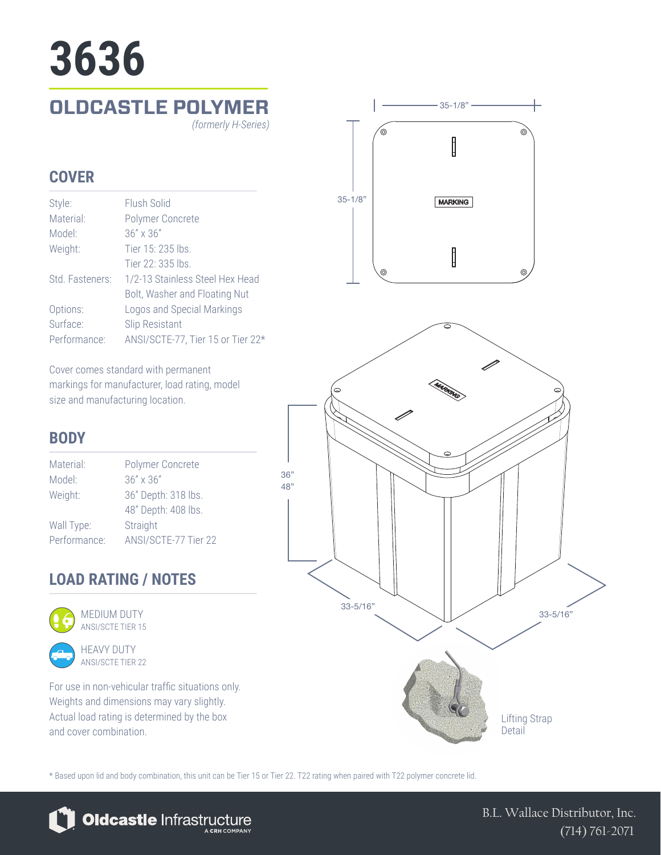# **3636**

### **OLDCASTLE POLYMER**

*(formerly H-Series)*

#### **COVER**

| Style:          | Flush Solid                       |
|-----------------|-----------------------------------|
| Material:       | Polymer Concrete                  |
| Model:          | $36'' \times 36''$                |
| Weight:         | Tier 15: 235 lbs.                 |
|                 | Tier 22: 335 lbs.                 |
| Std. Fasteners: | 1/2-13 Stainless Steel Hex Head   |
|                 | Bolt, Washer and Floating Nut     |
| Options:        | Logos and Special Markings        |
| Surface:        | <b>Slip Resistant</b>             |
| Performance:    | ANSI/SCTE-77, Tier 15 or Tier 22* |

Cover comes standard with permanent markings for manufacturer, load rating, model size and manufacturing location.

## $-35-1/8"$ ′⊚ I 35-1/8" **MARKING** ∥

#### **BODY**

| Polymer Concrete     |
|----------------------|
| $36'' \times 36''$   |
| 36" Depth: 318 lbs.  |
| 48" Depth: 408 lbs.  |
| Straight             |
| ANSI/SCTE-77 Tier 22 |
|                      |

#### **LOAD RATING / NOTES**



MEDIUM DUTY ANSI/SCTE TIER 15



For use in non-vehicular traffic situations only. Weights and dimensions may vary slightly. Actual load rating is determined by the box and cover combination.



\* Based upon lid and body combination, this unit can be Tier 15 or Tier 22. T22 rating when paired with T22 polymer concrete lid.

36" 48"



B.L. Wallace Distributor, Inc. (714) 761-2071